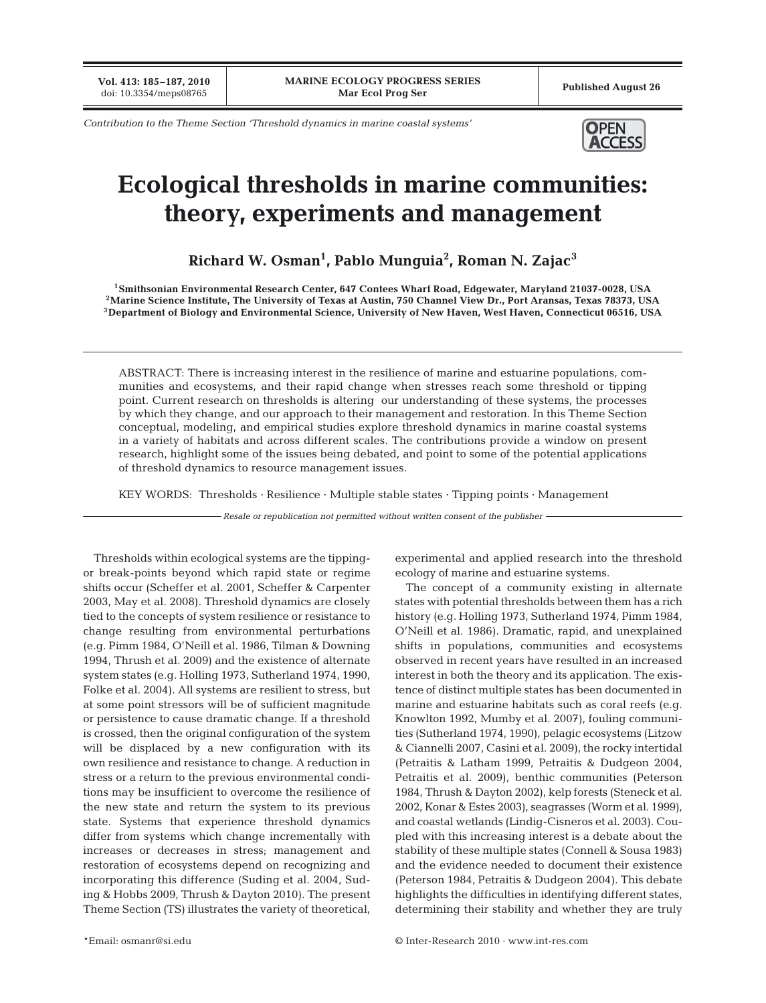**Vol. 413: 185–187, 2010**

*Contribution to the Theme Section 'Threshold dynamics in marine coastal systems'* **OPEN** 



## **Ecological thresholds in marine communities: theory, experiments and management**

**Richard W. Osman1 , Pablo Munguia2 , Roman N. Zajac<sup>3</sup>**

**1Smithsonian Environmental Research Center, 647 Contees Wharf Road, Edgewater, Maryland 21037-0028, USA 2Marine Science Institute, The University of Texas at Austin, 750 Channel View Dr., Port Aransas, Texas 78373, USA 3Department of Biology and Environmental Science, University of New Haven, West Haven, Connecticut 06516, USA**

ABSTRACT: There is increasing interest in the resilience of marine and estuarine populations, communities and ecosystems, and their rapid change when stresses reach some threshold or tipping point. Current research on thresholds is altering our understanding of these systems, the processes by which they change, and our approach to their management and restoration. In this Theme Section conceptual, modeling, and empirical studies explore threshold dynamics in marine coastal systems in a variety of habitats and across different scales. The contributions provide a window on present research, highlight some of the issues being debated, and point to some of the potential applications of threshold dynamics to resource management issues.

KEY WORDS: Thresholds · Resilience · Multiple stable states · Tipping points · Management

*Resale or republication not permitted without written consent of the publisher*

Thresholds within ecological systems are the tippingor break-points beyond which rapid state or regime shifts occur (Scheffer et al. 2001, Scheffer & Carpenter 2003, May et al. 2008). Threshold dynamics are closely tied to the concepts of system resilience or resistance to change resulting from environmental perturbations (e.g. Pimm 1984, O'Neill et al. 1986, Tilman & Downing 1994, Thrush et al. 2009) and the existence of alternate system states (e.g. Holling 1973, Sutherland 1974, 1990, Folke et al. 2004). All systems are resilient to stress, but at some point stressors will be of sufficient magnitude or persistence to cause dramatic change. If a threshold is crossed, then the original configuration of the system will be displaced by a new configuration with its own resilience and resistance to change. A reduction in stress or a return to the previous environmental conditions may be insufficient to overcome the resilience of the new state and return the system to its previous state. Systems that experience threshold dynamics differ from systems which change incrementally with increases or decreases in stress; management and restoration of ecosystems depend on recognizing and incorporating this difference (Suding et al. 2004, Suding & Hobbs 2009, Thrush & Dayton 2010). The present Theme Section (TS) illustrates the variety of theoretical,

ecology of marine and estuarine systems. The concept of a community existing in alternate

experimental and applied research into the threshold

states with potential thresholds between them has a rich history (e.g. Holling 1973, Sutherland 1974, Pimm 1984, O'Neill et al. 1986). Dramatic, rapid, and unexplained shifts in populations, communities and ecosystems observed in recent years have resulted in an increased interest in both the theory and its application. The existence of distinct multiple states has been documented in marine and estuarine habitats such as coral reefs (e.g. Knowlton 1992, Mumby et al. 2007), fouling communities (Sutherland 1974, 1990), pelagic ecosystems (Litzow & Ciannelli 2007, Casini et al. 2009), the rocky intertidal (Petraitis & Latham 1999, Petraitis & Dudgeon 2004, Petraitis et al. 2009), benthic communities (Peterson 1984, Thrush & Dayton 2002), kelp forests (Steneck et al. 2002, Konar & Estes 2003), seagrasses (Worm et al. 1999), and coastal wetlands (Lindig-Cisneros et al. 2003). Coupled with this increasing interest is a debate about the stability of these multiple states (Connell & Sousa 1983) and the evidence needed to document their existence (Peterson 1984, Petraitis & Dudgeon 2004). This debate highlights the difficulties in identifying different states, determining their stability and whether they are truly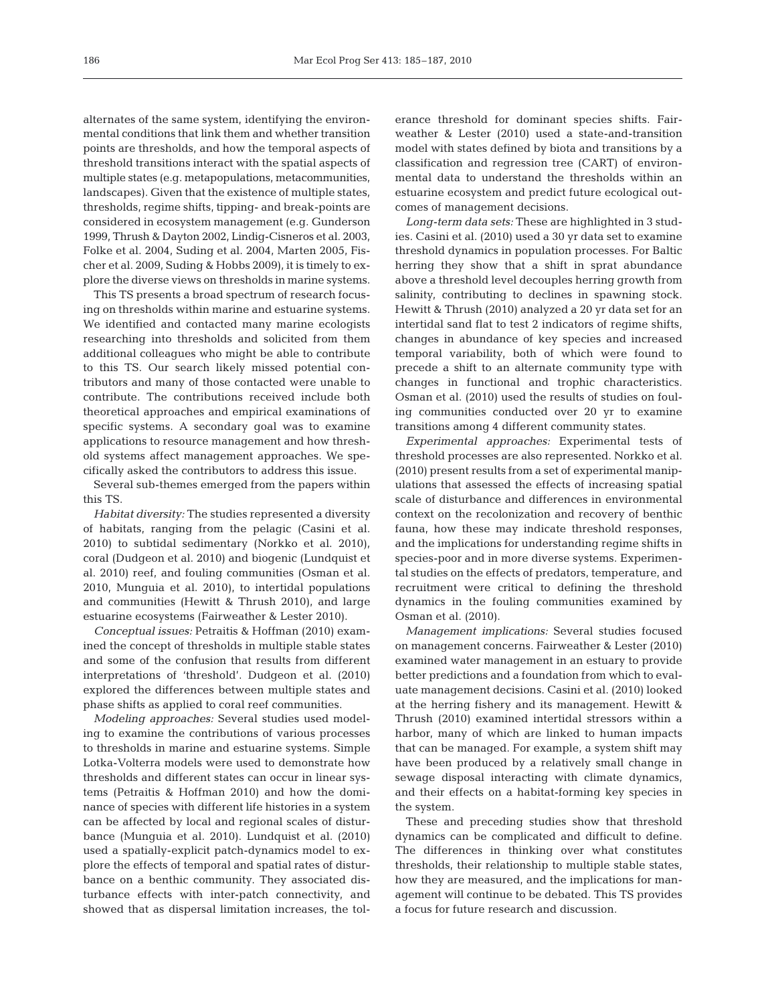alternates of the same system, identifying the environmental conditions that link them and whether transition points are thresholds, and how the temporal aspects of threshold transitions interact with the spatial aspects of multiple states (e.g. metapopulations, metacommunities, landscapes). Given that the existence of multiple states, thresholds, regime shifts, tipping- and break-points are considered in ecosystem management (e.g. Gunderson 1999, Thrush & Dayton 2002, Lindig-Cisneros et al. 2003, Folke et al. 2004, Suding et al. 2004, Marten 2005, Fischer et al. 2009, Suding & Hobbs 2009), it is timely to explore the diverse views on thresholds in marine systems.

This TS presents a broad spectrum of research focusing on thresholds within marine and estuarine systems. We identified and contacted many marine ecologists researching into thresholds and solicited from them additional colleagues who might be able to contribute to this TS. Our search likely missed potential contributors and many of those contacted were unable to contribute. The contributions received include both theoretical approaches and empirical examinations of specific systems. A secondary goal was to examine applications to resource management and how threshold systems affect management approaches. We specifically asked the contributors to address this issue.

Several sub-themes emerged from the papers within this TS.

*Habitat diversity:* The studies represented a diversity of habitats, ranging from the pelagic (Casini et al. 2010) to subtidal sedimentary (Norkko et al. 2010), coral (Dudgeon et al. 2010) and biogenic (Lundquist et al. 2010) reef, and fouling communities (Osman et al. 2010, Munguia et al. 2010), to intertidal populations and communities (Hewitt & Thrush 2010), and large estuarine ecosystems (Fairweather & Lester 2010).

*Conceptual issues:* Petraitis & Hoffman (2010) examined the concept of thresholds in multiple stable states and some of the confusion that results from different interpretations of 'threshold'. Dudgeon et al. (2010) explored the differences between multiple states and phase shifts as applied to coral reef communities.

*Modeling approaches:* Several studies used modeling to examine the contributions of various processes to thresholds in marine and estuarine systems. Simple Lotka-Volterra models were used to demonstrate how thresholds and different states can occur in linear systems (Petraitis & Hoffman 2010) and how the dominance of species with different life histories in a system can be affected by local and regional scales of disturbance (Munguia et al. 2010). Lundquist et al. (2010) used a spatially-explicit patch-dynamics model to explore the effects of temporal and spatial rates of disturbance on a benthic community. They associated disturbance effects with inter-patch connectivity, and showed that as dispersal limitation increases, the tolerance threshold for dominant species shifts. Fairweather & Lester (2010) used a state-and-transition model with states defined by biota and transitions by a classification and regression tree (CART) of environmental data to understand the thresholds within an estuarine ecosystem and predict future ecological outcomes of management decisions.

*Long-term data sets:* These are highlighted in 3 studies. Casini et al. (2010) used a 30 yr data set to examine threshold dynamics in population processes. For Baltic herring they show that a shift in sprat abundance above a threshold level decouples herring growth from salinity, contributing to declines in spawning stock. Hewitt & Thrush (2010) analyzed a 20 yr data set for an intertidal sand flat to test 2 indicators of regime shifts, changes in abundance of key species and increased temporal variability, both of which were found to precede a shift to an alternate community type with changes in functional and trophic characteristics. Osman et al. (2010) used the results of studies on fouling communities conducted over 20 yr to examine transitions among 4 different community states.

*Experimental approaches:* Experimental tests of threshold processes are also represented. Norkko et al. (2010) present results from a set of experimental manipulations that assessed the effects of increasing spatial scale of disturbance and differences in environmental context on the recolonization and recovery of benthic fauna, how these may indicate threshold responses, and the implications for understanding regime shifts in species-poor and in more diverse systems. Experimental studies on the effects of predators, temperature, and recruitment were critical to defining the threshold dynamics in the fouling communities examined by Osman et al. (2010).

*Management implications:* Several studies focused on management concerns. Fairweather & Lester (2010) examined water management in an estuary to provide better predictions and a foundation from which to evaluate management decisions. Casini et al. (2010) looked at the herring fishery and its management. Hewitt & Thrush (2010) examined intertidal stressors within a harbor, many of which are linked to human impacts that can be managed. For example, a system shift may have been produced by a relatively small change in sewage disposal interacting with climate dynamics, and their effects on a habitat-forming key species in the system.

These and preceding studies show that threshold dynamics can be complicated and difficult to define. The differences in thinking over what constitutes thresholds, their relationship to multiple stable states, how they are measured, and the implications for management will continue to be debated. This TS provides a focus for future research and discussion.